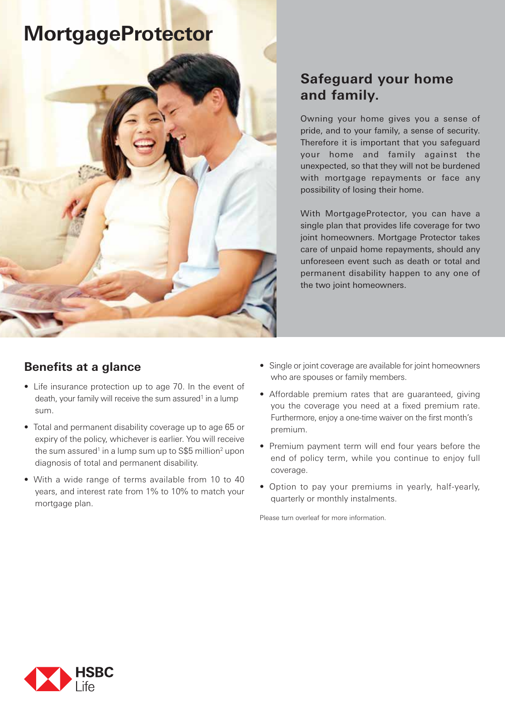# **MortgageProtector**



# **Safeguard your home and family.**

Owning your home gives you a sense of pride, and to your family, a sense of security. Therefore it is important that you safeguard your home and family against the unexpected, so that they will not be burdened with mortgage repayments or face any possibility of losing their home.

With MortgageProtector, you can have a single plan that provides life coverage for two joint homeowners. Mortgage Protector takes care of unpaid home repayments, should any unforeseen event such as death or total and permanent disability happen to any one of the two joint homeowners.

## **Benefits at a glance**

- Life insurance protection up to age 70. In the event of death, your family will receive the sum assured<sup>1</sup> in a lump sum.
- Total and permanent disability coverage up to age 65 or expiry of the policy, whichever is earlier. You will receive the sum assured<sup>1</sup> in a lump sum up to S\$5 million<sup>2</sup> upon diagnosis of total and permanent disability.
- With a wide range of terms available from 10 to 40 years, and interest rate from 1% to 10% to match your mortgage plan.
- Single or joint coverage are available for joint homeowners who are spouses or family members.
- Affordable premium rates that are guaranteed, giving you the coverage you need at a fixed premium rate. Furthermore, enjoy a one-time waiver on the first month's premium.
- Premium payment term will end four years before the end of policy term, while you continue to enjoy full coverage.
- Option to pay your premiums in yearly, half-yearly, quarterly or monthly instalments.

Please turn overleaf for more information.